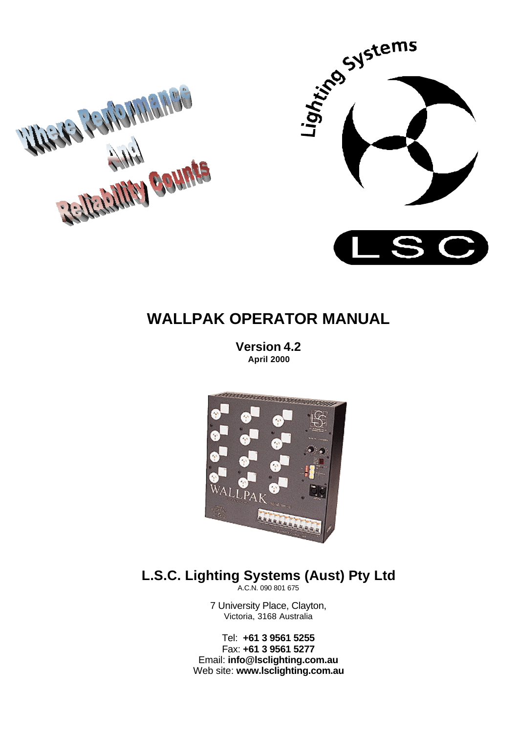



# **WALLPAK OPERATOR MANUAL**

**Version 4.2 April 2000**



# **L.S.C. Lighting Systems (Aust) Pty Ltd**

A.C.N. 090 801 675

7 University Place, Clayton, Victoria, 3168 Australia

Tel: **+61 3 9561 5255** Fax: **+61 3 9561 5277** Email: **info@lsclighting.com.au** Web site: **www.lsclighting.com.au**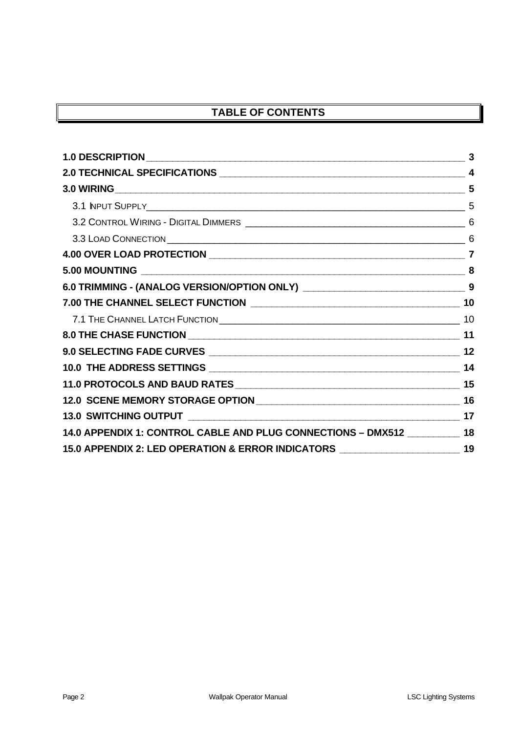# **TABLE OF CONTENTS**

|                                                                                     | 5              |
|-------------------------------------------------------------------------------------|----------------|
|                                                                                     | 5              |
|                                                                                     | 6              |
|                                                                                     | 6              |
|                                                                                     | $\overline{7}$ |
|                                                                                     | 8              |
|                                                                                     |                |
|                                                                                     |                |
|                                                                                     |                |
|                                                                                     |                |
|                                                                                     |                |
|                                                                                     |                |
|                                                                                     |                |
|                                                                                     |                |
|                                                                                     |                |
| 14.0 APPENDIX 1: CONTROL CABLE AND PLUG CONNECTIONS - DMX512 __________ 18          |                |
| 15.0 APPENDIX 2: LED OPERATION & ERROR INDICATORS ______________________________ 19 |                |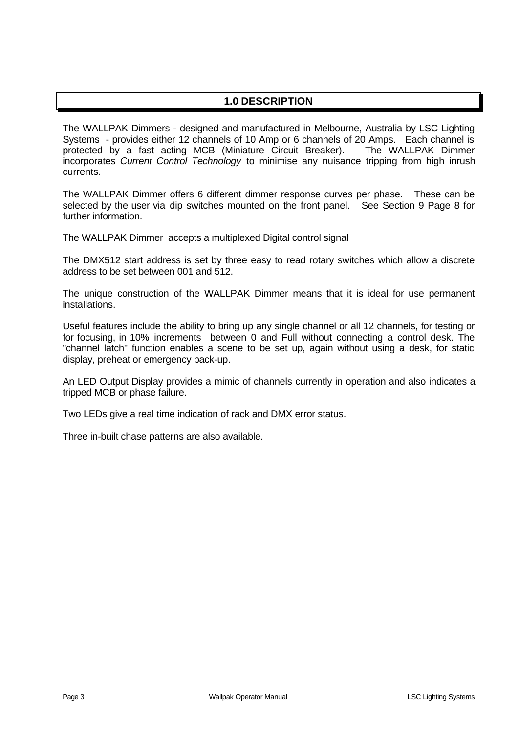# **1.0 DESCRIPTION**

The WALLPAK Dimmers - designed and manufactured in Melbourne, Australia by LSC Lighting Systems - provides either 12 channels of 10 Amp or 6 channels of 20 Amps. Each channel is protected by a fast acting MCB (Miniature Circuit Breaker). The WALLPAK Dimmer incorporates *Current Control Technology* to minimise any nuisance tripping from high inrush currents.

The WALLPAK Dimmer offers 6 different dimmer response curves per phase. These can be selected by the user via dip switches mounted on the front panel. See Section 9 Page 8 for further information.

The WALLPAK Dimmer accepts a multiplexed Digital control signal

The DMX512 start address is set by three easy to read rotary switches which allow a discrete address to be set between 001 and 512.

The unique construction of the WALLPAK Dimmer means that it is ideal for use permanent installations.

Useful features include the ability to bring up any single channel or all 12 channels, for testing or for focusing, in 10% increments between 0 and Full without connecting a control desk. The "channel latch" function enables a scene to be set up, again without using a desk, for static display, preheat or emergency back-up.

An LED Output Display provides a mimic of channels currently in operation and also indicates a tripped MCB or phase failure.

Two LEDs give a real time indication of rack and DMX error status.

Three in-built chase patterns are also available.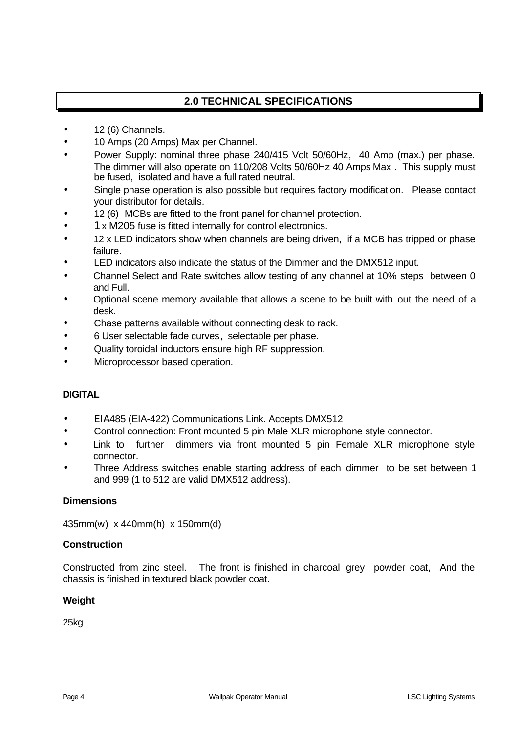# **2.0 TECHNICAL SPECIFICATIONS**

- 12 (6) Channels.
- 10 Amps (20 Amps) Max per Channel.
- Power Supply: nominal three phase 240/415 Volt 50/60Hz, 40 Amp (max.) per phase. The dimmer will also operate on 110/208 Volts 50/60Hz 40 Amps Max . This supply must be fused, isolated and have a full rated neutral.
- Single phase operation is also possible but requires factory modification. Please contact your distributor for details.
- 12 (6) MCBs are fitted to the front panel for channel protection.
- 1 x M205 fuse is fitted internally for control electronics.
- 12 x LED indicators show when channels are being driven, if a MCB has tripped or phase failure.
- LED indicators also indicate the status of the Dimmer and the DMX512 input.
- Channel Select and Rate switches allow testing of any channel at 10% steps between 0 and Full.
- Optional scene memory available that allows a scene to be built with out the need of a desk.
- Chase patterns available without connecting desk to rack.
- 6 User selectable fade curves, selectable per phase.
- Quality toroidal inductors ensure high RF suppression.
- Microprocessor based operation.

### **DIGITAL**

- ΕΙΑ485 (EIA-422) Communications Link. Accepts DMX512
- Control connection: Front mounted 5 pin Male XLR microphone style connector.
- Link to further dimmers via front mounted 5 pin Female XLR microphone style connector.
- Three Address switches enable starting address of each dimmer to be set between 1 and 999 (1 to 512 are valid DMX512 address).

#### **Dimensions**

435mm(w) x 440mm(h) x 150mm(d)

#### **Construction**

Constructed from zinc steel. The front is finished in charcoal grey powder coat, And the chassis is finished in textured black powder coat.

#### **Weight**

25kg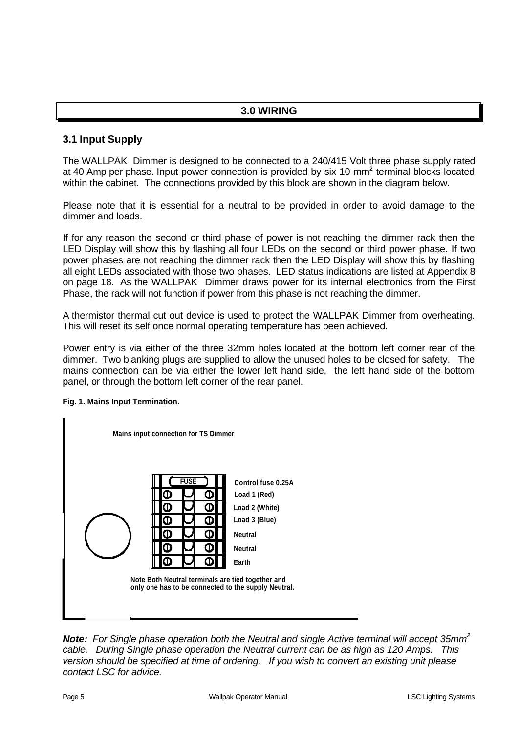### **3.0 WIRING**

### **3.1 Input Supply**

The WALLPAK Dimmer is designed to be connected to a 240/415 Volt three phase supply rated at 40 Amp per phase. Input power connection is provided by six 10 mm<sup>2</sup> terminal blocks located within the cabinet. The connections provided by this block are shown in the diagram below.

Please note that it is essential for a neutral to be provided in order to avoid damage to the dimmer and loads.

If for any reason the second or third phase of power is not reaching the dimmer rack then the LED Display will show this by flashing all four LEDs on the second or third power phase. If two power phases are not reaching the dimmer rack then the LED Display will show this by flashing all eight LEDs associated with those two phases. LED status indications are listed at Appendix 8 on page 18. As the WALLPAK Dimmer draws power for its internal electronics from the First Phase, the rack will not function if power from this phase is not reaching the dimmer.

A thermistor thermal cut out device is used to protect the WALLPAK Dimmer from overheating. This will reset its self once normal operating temperature has been achieved.

Power entry is via either of the three 32mm holes located at the bottom left corner rear of the dimmer. Two blanking plugs are supplied to allow the unused holes to be closed for safety. The mains connection can be via either the lower left hand side, the left hand side of the bottom panel, or through the bottom left corner of the rear panel.

#### **Fig. 1. Mains Input Termination.**



*Note: For Single phase operation both the Neutral and single Active terminal will accept 35mm<sup>2</sup> cable. During Single phase operation the Neutral current can be as high as 120 Amps. This version should be specified at time of ordering. If you wish to convert an existing unit please contact LSC for advice.*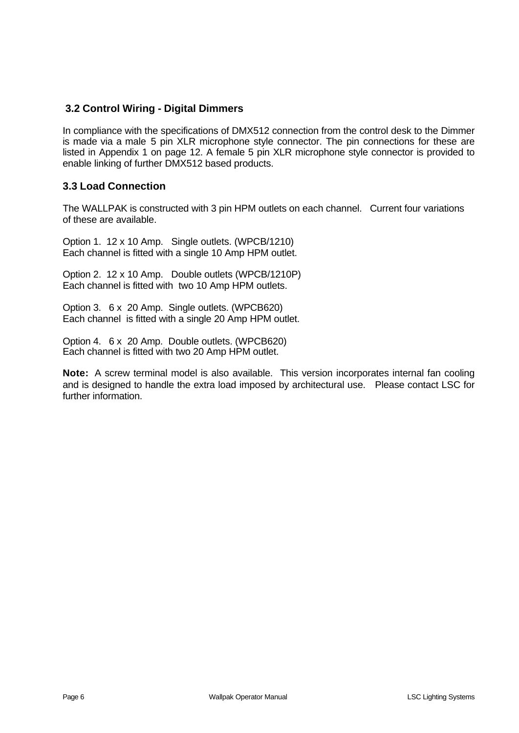### **3.2 Control Wiring - Digital Dimmers**

In compliance with the specifications of DMX512 connection from the control desk to the Dimmer is made via a male 5 pin XLR microphone style connector. The pin connections for these are listed in Appendix 1 on page 12. A female 5 pin XLR microphone style connector is provided to enable linking of further DMX512 based products.

### **3.3 Load Connection**

The WALLPAK is constructed with 3 pin HPM outlets on each channel. Current four variations of these are available.

Option 1. 12 x 10 Amp. Single outlets. (WPCB/1210) Each channel is fitted with a single 10 Amp HPM outlet.

Option 2. 12 x 10 Amp. Double outlets (WPCB/1210P) Each channel is fitted with two 10 Amp HPM outlets.

Option 3. 6 x 20 Amp. Single outlets. (WPCB620) Each channel is fitted with a single 20 Amp HPM outlet.

Option 4. 6 x 20 Amp. Double outlets. (WPCB620) Each channel is fitted with two 20 Amp HPM outlet.

**Note:** A screw terminal model is also available. This version incorporates internal fan cooling and is designed to handle the extra load imposed by architectural use. Please contact LSC for further information.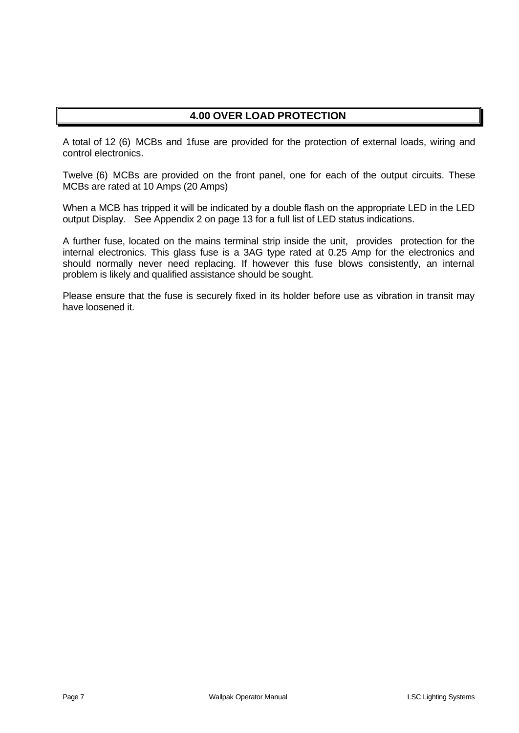# **4.00 OVER LOAD PROTECTION**

A total of 12 (6) MCBs and 1fuse are provided for the protection of external loads, wiring and control electronics.

Twelve (6) MCBs are provided on the front panel, one for each of the output circuits. These MCBs are rated at 10 Amps (20 Amps)

When a MCB has tripped it will be indicated by a double flash on the appropriate LED in the LED output Display. See Appendix 2 on page 13 for a full list of LED status indications.

A further fuse, located on the mains terminal strip inside the unit, provides protection for the internal electronics. This glass fuse is a 3AG type rated at 0.25 Amp for the electronics and should normally never need replacing. If however this fuse blows consistently, an internal problem is likely and qualified assistance should be sought.

Please ensure that the fuse is securely fixed in its holder before use as vibration in transit may have loosened it.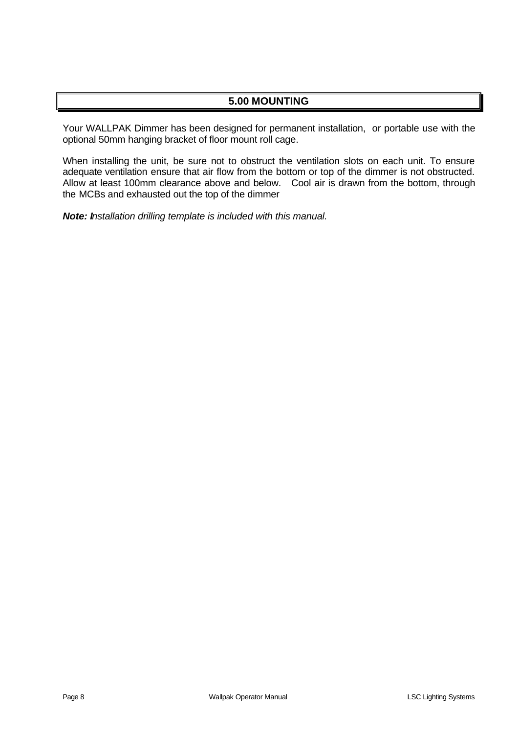## **5.00 MOUNTING**

Your WALLPAK Dimmer has been designed for permanent installation, or portable use with the optional 50mm hanging bracket of floor mount roll cage.

When installing the unit, be sure not to obstruct the ventilation slots on each unit. To ensure adequate ventilation ensure that air flow from the bottom or top of the dimmer is not obstructed. Allow at least 100mm clearance above and below. Cool air is drawn from the bottom, through the MCBs and exhausted out the top of the dimmer

*Note: Installation drilling template is included with this manual.*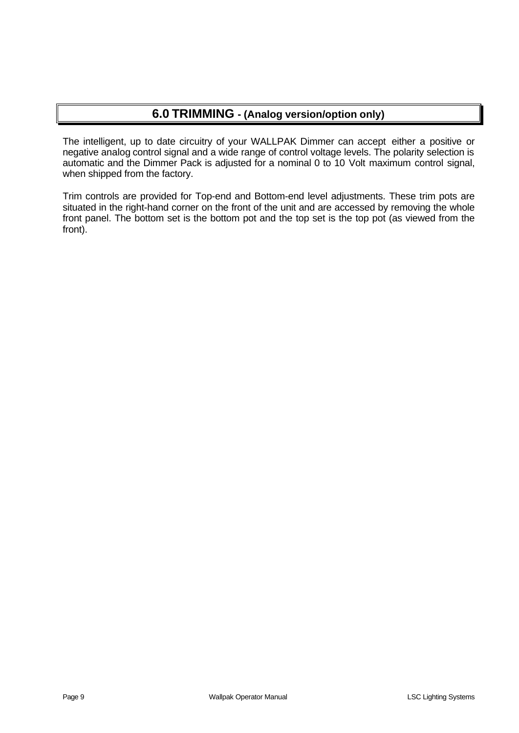# **6.0 TRIMMING - (Analog version/option only)**

The intelligent, up to date circuitry of your WALLPAK Dimmer can accept either a positive or negative analog control signal and a wide range of control voltage levels. The polarity selection is automatic and the Dimmer Pack is adjusted for a nominal 0 to 10 Volt maximum control signal, when shipped from the factory.

Trim controls are provided for Top-end and Bottom-end level adjustments. These trim pots are situated in the right-hand corner on the front of the unit and are accessed by removing the whole front panel. The bottom set is the bottom pot and the top set is the top pot (as viewed from the front).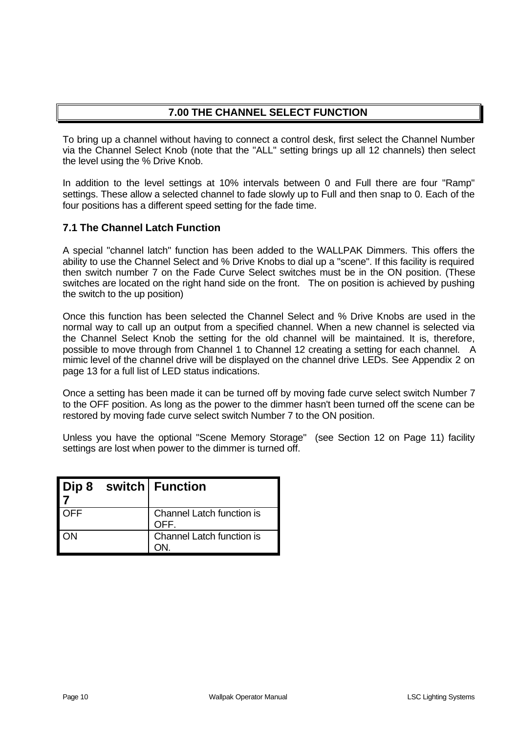# **7.00 THE CHANNEL SELECT FUNCTION**

To bring up a channel without having to connect a control desk, first select the Channel Number via the Channel Select Knob (note that the "ALL" setting brings up all 12 channels) then select the level using the % Drive Knob.

In addition to the level settings at 10% intervals between 0 and Full there are four "Ramp" settings. These allow a selected channel to fade slowly up to Full and then snap to 0. Each of the four positions has a different speed setting for the fade time.

### **7.1 The Channel Latch Function**

A special "channel latch" function has been added to the WALLPAK Dimmers. This offers the ability to use the Channel Select and % Drive Knobs to dial up a "scene". If this facility is required then switch number 7 on the Fade Curve Select switches must be in the ON position. (These switches are located on the right hand side on the front. The on position is achieved by pushing the switch to the up position)

Once this function has been selected the Channel Select and % Drive Knobs are used in the normal way to call up an output from a specified channel. When a new channel is selected via the Channel Select Knob the setting for the old channel will be maintained. It is, therefore, possible to move through from Channel 1 to Channel 12 creating a setting for each channel. A mimic level of the channel drive will be displayed on the channel drive LEDs. See Appendix 2 on page 13 for a full list of LED status indications.

Once a setting has been made it can be turned off by moving fade curve select switch Number 7 to the OFF position. As long as the power to the dimmer hasn't been turned off the scene can be restored by moving fade curve select switch Number 7 to the ON position.

Unless you have the optional "Scene Memory Storage" (see Section 12 on Page 11) facility settings are lost when power to the dimmer is turned off.

|            | Dip 8 switch   Function           |
|------------|-----------------------------------|
| <b>OFF</b> | Channel Latch function is<br>OFF. |
| ΩN         | Channel Latch function is         |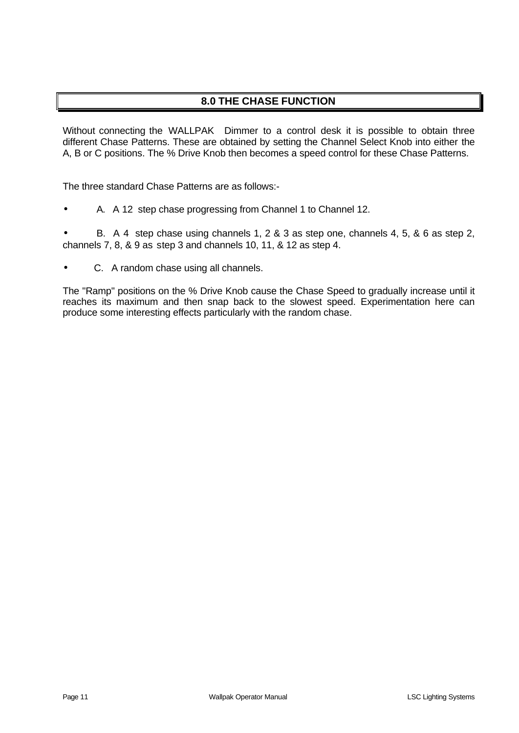# **8.0 THE CHASE FUNCTION**

Without connecting the WALLPAK Dimmer to a control desk it is possible to obtain three different Chase Patterns. These are obtained by setting the Channel Select Knob into either the A, B or C positions. The % Drive Knob then becomes a speed control for these Chase Patterns.

The three standard Chase Patterns are as follows:-

• A. A 12 step chase progressing from Channel 1 to Channel 12.

• B. A 4 step chase using channels 1, 2 & 3 as step one, channels 4, 5, & 6 as step 2, channels 7, 8, & 9 as step 3 and channels 10, 11, & 12 as step 4.

• C. A random chase using all channels.

The "Ramp" positions on the % Drive Knob cause the Chase Speed to gradually increase until it reaches its maximum and then snap back to the slowest speed. Experimentation here can produce some interesting effects particularly with the random chase.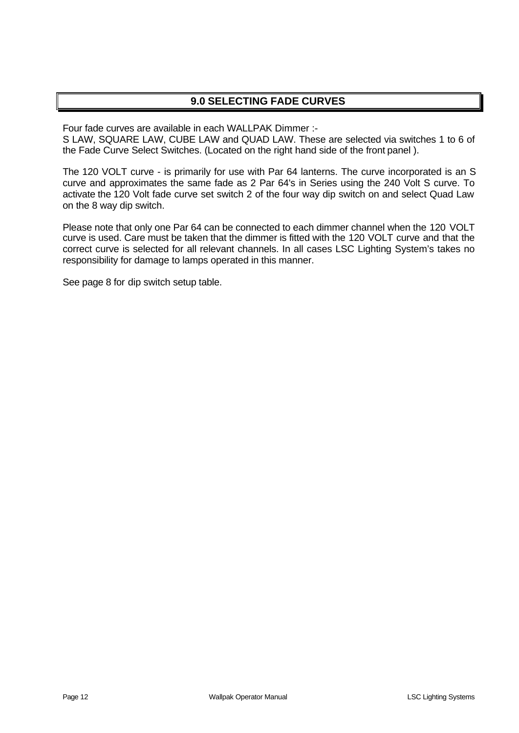# **9.0 SELECTING FADE CURVES**

Four fade curves are available in each WALLPAK Dimmer :-

S LAW, SQUARE LAW, CUBE LAW and QUAD LAW. These are selected via switches 1 to 6 of the Fade Curve Select Switches. (Located on the right hand side of the front panel ).

The 120 VOLT curve - is primarily for use with Par 64 lanterns. The curve incorporated is an S curve and approximates the same fade as 2 Par 64's in Series using the 240 Volt S curve. To activate the 120 Volt fade curve set switch 2 of the four way dip switch on and select Quad Law on the 8 way dip switch.

Please note that only one Par 64 can be connected to each dimmer channel when the 120 VOLT curve is used. Care must be taken that the dimmer is fitted with the 120 VOLT curve and that the correct curve is selected for all relevant channels. In all cases LSC Lighting System's takes no responsibility for damage to lamps operated in this manner.

See page 8 for dip switch setup table.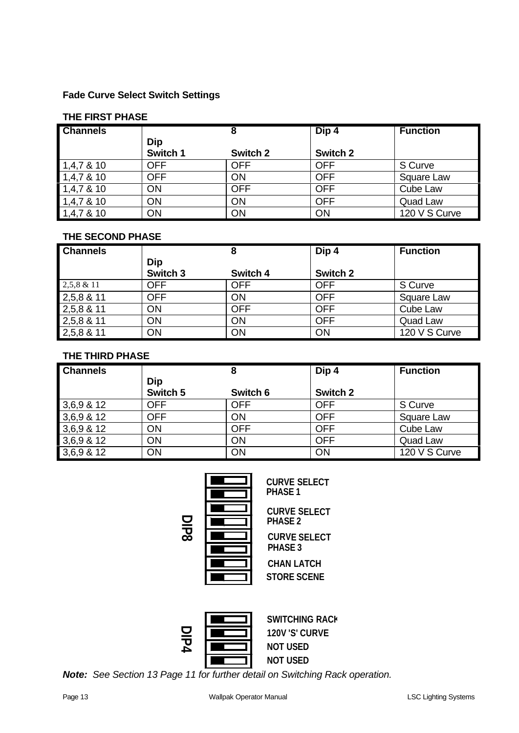### **Fade Curve Select Switch Settings**

#### **THE FIRST PHASE**

| <b>Channels</b> |            |            | Dip 4      | <b>Function</b> |
|-----------------|------------|------------|------------|-----------------|
|                 | <b>Dip</b> |            |            |                 |
|                 | Switch 1   | Switch 2   | Switch 2   |                 |
| 1,4,78,10       | <b>OFF</b> | <b>OFF</b> | <b>OFF</b> | S Curve         |
| 1,4,78,10       | <b>OFF</b> | ON         | <b>OFF</b> | Square Law      |
| 1,4,78,10       | ON         | <b>OFF</b> | <b>OFF</b> | Cube Law        |
| 1,4,7,8,10      | ON         | ON         | <b>OFF</b> | Quad Law        |
| 1,4,78,10       | ON         | ON         | ON         | 120 V S Curve   |

### **THE SECOND PHASE**

| <b>Channels</b> |            | 8          | Dip 4      | <b>Function</b> |
|-----------------|------------|------------|------------|-----------------|
|                 | <b>Dip</b> |            |            |                 |
|                 | Switch 3   | Switch 4   | Switch 2   |                 |
| $2,5,8 \& 11$   | <b>OFF</b> | <b>OFF</b> | <b>OFF</b> | S Curve         |
| 2,5,8 & 11      | <b>OFF</b> | ON         | <b>OFF</b> | Square Law      |
| 2,5,8 & 11      | ON         | <b>OFF</b> | <b>OFF</b> | Cube Law        |
| 2,5,8 & 11      | ON         | ON         | <b>OFF</b> | Quad Law        |
| 2,5,8 & 11      | ON         | ON         | ON         | 120 V S Curve   |

### **THE THIRD PHASE**

| <b>Channels</b> |            | 8          | Dip 4      | <b>Function</b> |
|-----------------|------------|------------|------------|-----------------|
|                 | Dip        |            |            |                 |
|                 | Switch 5   | Switch 6   | Switch 2   |                 |
| 3,6,9 & 12      | <b>OFF</b> | <b>OFF</b> | <b>OFF</b> | S Curve         |
| 3,6,9 & 12      | <b>OFF</b> | ON         | <b>OFF</b> | Square Law      |
| 3,6,9 & 12      | ON         | <b>OFF</b> | <b>OFF</b> | Cube Law        |
| 3,6,9 & 12      | ON         | ON         | <b>OFF</b> | Quad Law        |
| 3,6,9 & 12      | ON         | ON         | ON         | 120 V S Curve   |

| п |  |
|---|--|
|   |  |
|   |  |
|   |  |

**CURVE SELECT PHASE 1**

PHASE 2<br> **Note: CURVE SELECT**<br> **Note:** See Section 13 Page 11 for further detail on Switching Rack operation. **CURVE SELECT CURVE SELECT STORE SCENE CHAN LATCH PHASE 3 PHASE 2**



**SWITCHING RACK 120V 'S' CURVE NOT USED NOT USED**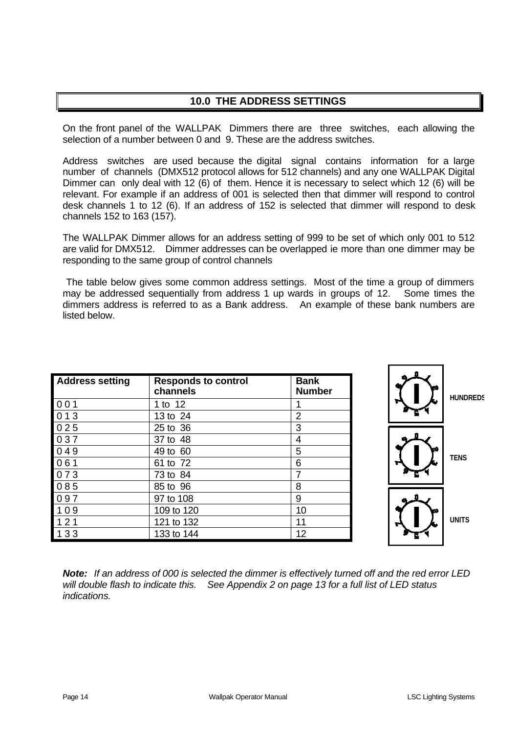# **10.0 THE ADDRESS SETTINGS**

On the front panel of the WALLPAK Dimmers there are three switches, each allowing the selection of a number between 0 and 9. These are the address switches.

Address switches are used because the digital signal contains information for a large number of channels (DMX512 protocol allows for 512 channels) and any one WALLPAK Digital Dimmer can only deal with 12 (6) of them. Hence it is necessary to select which 12 (6) will be relevant. For example if an address of 001 is selected then that dimmer will respond to control desk channels 1 to 12 (6). If an address of 152 is selected that dimmer will respond to desk channels 152 to 163 (157).

The WALLPAK Dimmer allows for an address setting of 999 to be set of which only 001 to 512 are valid for DMX512. Dimmer addresses can be overlapped ie more than one dimmer may be responding to the same group of control channels

 The table below gives some common address settings. Most of the time a group of dimmers may be addressed sequentially from address 1 up wards in groups of 12. Some times the dimmers address is referred to as a Bank address. An example of these bank numbers are listed below.

| <b>Address setting</b> | <b>Responds to control</b><br>channels | <b>Bank</b><br><b>Number</b> |
|------------------------|----------------------------------------|------------------------------|
| $001$                  | 1 to 12                                | 1                            |
| 013                    | 13 to 24                               | $\overline{2}$               |
| 025                    | 25 to 36                               | 3                            |
| 037                    | 37 to 48                               | 4                            |
| 049                    | 49 to 60                               | 5                            |
| 061                    | 61 to 72                               | 6                            |
| 73                     | 73 to 84                               | 7                            |
| 085                    | 85 to 96                               | 8                            |
| 097                    | 97 to 108                              | 9                            |
| 109                    | 109 to 120                             | 10                           |
| 121                    | 121 to 132                             | 11                           |
| 133                    | 133 to 144                             | 12                           |



*Note: If an address of 000 is selected the dimmer is effectively turned off and the red error LED will double flash to indicate this. See Appendix 2 on page 13 for a full list of LED status indications.*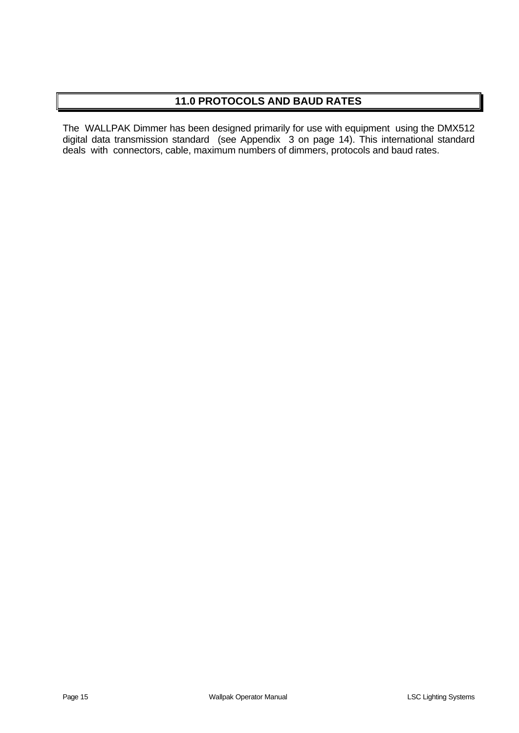# **11.0 PROTOCOLS AND BAUD RATES**

The WALLPAK Dimmer has been designed primarily for use with equipment using the DMX512 digital data transmission standard (see Appendix 3 on page 14). This international standard deals with connectors, cable, maximum numbers of dimmers, protocols and baud rates.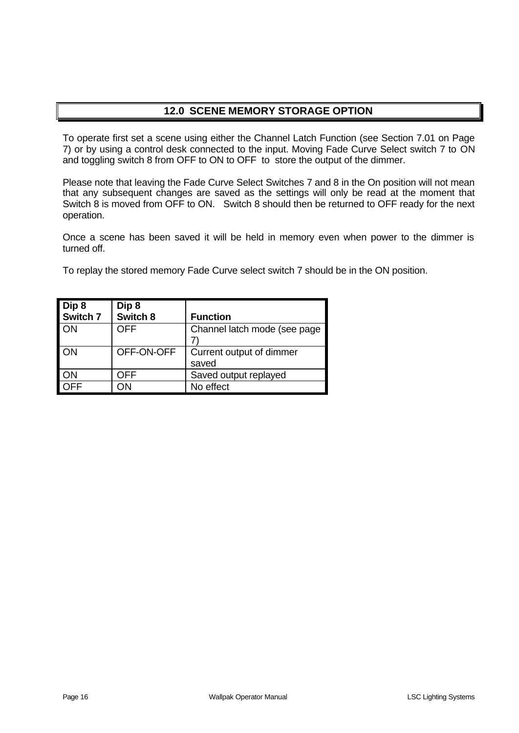## **12.0 SCENE MEMORY STORAGE OPTION**

To operate first set a scene using either the Channel Latch Function (see Section 7.01 on Page 7) or by using a control desk connected to the input. Moving Fade Curve Select switch 7 to ON and toggling switch 8 from OFF to ON to OFF to store the output of the dimmer.

Please note that leaving the Fade Curve Select Switches 7 and 8 in the On position will not mean that any subsequent changes are saved as the settings will only be read at the moment that Switch 8 is moved from OFF to ON. Switch 8 should then be returned to OFF ready for the next operation.

Once a scene has been saved it will be held in memory even when power to the dimmer is turned off.

To replay the stored memory Fade Curve select switch 7 should be in the ON position.

| Dip 8    | Dip 8      |                               |
|----------|------------|-------------------------------|
| Switch 7 | Switch 8   | <b>Function</b>               |
| ON       | OFF        | Channel latch mode (see page) |
|          |            |                               |
| ON       | OFF-ON-OFF | Current output of dimmer      |
|          |            | saved                         |
| ON       | OFF        | Saved output replayed         |
|          | ٦N         | No effect                     |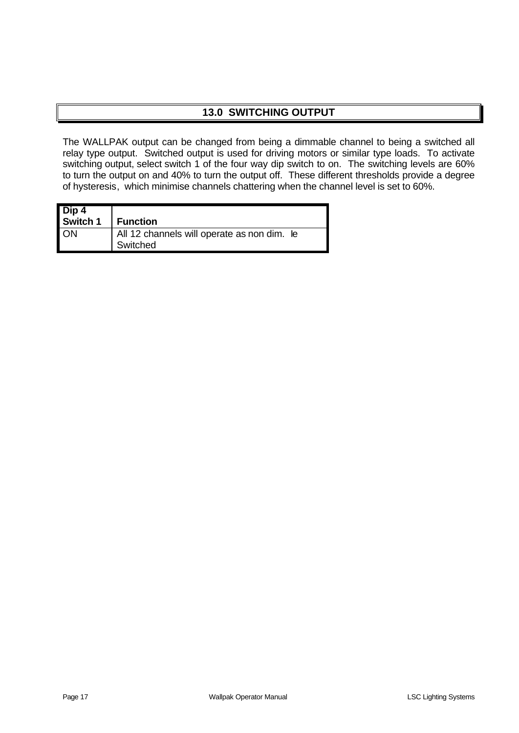# **13.0 SWITCHING OUTPUT**

The WALLPAK output can be changed from being a dimmable channel to being a switched all relay type output. Switched output is used for driving motors or similar type loads. To activate switching output, select switch 1 of the four way dip switch to on. The switching levels are 60% to turn the output on and 40% to turn the output off. These different thresholds provide a degree of hysteresis, which minimise channels chattering when the channel level is set to 60%.

| Dip 4<br>Switch 1 | Function                                                |  |
|-------------------|---------------------------------------------------------|--|
| <b>ON</b>         | All 12 channels will operate as non dim. le<br>Switched |  |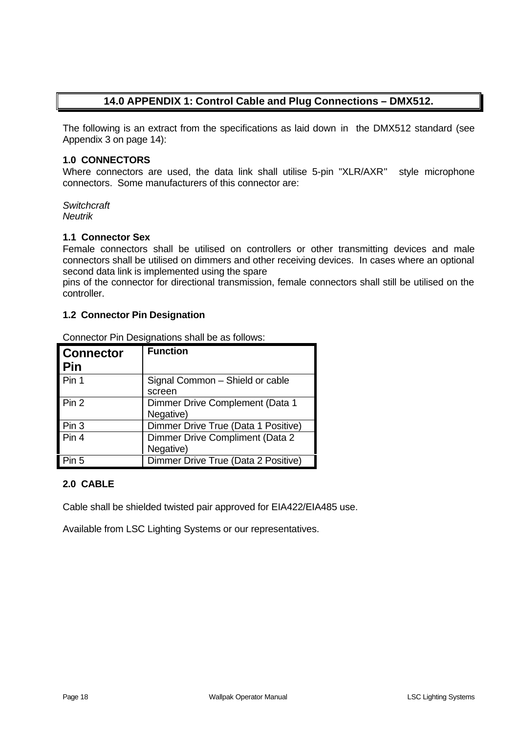## **14.0 APPENDIX 1: Control Cable and Plug Connections – DMX512.**

The following is an extract from the specifications as laid down in the DMX512 standard (see Appendix 3 on page 14):

#### **1.0 CONNECTORS**

Where connectors are used, the data link shall utilise 5-pin "XLR/AXR" style microphone connectors. Some manufacturers of this connector are:

*Switchcraft Neutrik*

#### **1.1 Connector Sex**

Female connectors shall be utilised on controllers or other transmitting devices and male connectors shall be utilised on dimmers and other receiving devices. In cases where an optional second data link is implemented using the spare

pins of the connector for directional transmission, female connectors shall still be utilised on the controller.

#### **1.2 Connector Pin Designation**

| <b>Connector</b><br>Pin | <b>Function</b>                              |
|-------------------------|----------------------------------------------|
| Pin 1                   | Signal Common - Shield or cable<br>screen    |
| Pin 2                   | Dimmer Drive Complement (Data 1<br>Negative) |
| Pin 3                   | Dimmer Drive True (Data 1 Positive)          |
| Pin 4                   | Dimmer Drive Compliment (Data 2<br>Negative) |
| Pin 5                   | Dimmer Drive True (Data 2 Positive)          |

Connector Pin Designations shall be as follows:

### **2.0 CABLE**

Cable shall be shielded twisted pair approved for EIA422/EIA485 use.

Available from LSC Lighting Systems or our representatives.